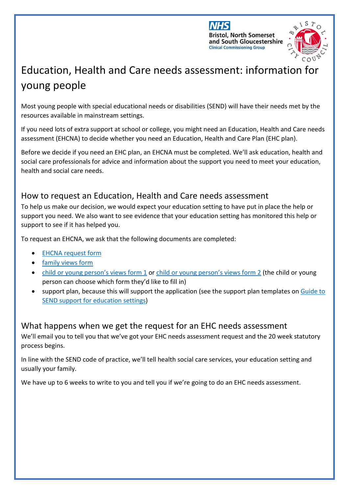



# Education, Health and Care needs assessment: information for young people

Most young people with special educational needs or disabilities (SEND) will have their needs met by the resources available in mainstream settings.

If you need lots of extra support at school or college, you might need an Education, Health and Care needs assessment (EHCNA) to decide whether you need an Education, Health and Care Plan (EHC plan).

Before we decide if you need an EHC plan, an EHCNA must be completed. We'll ask education, health and social care professionals for advice and information about the support you need to meet your education, health and social care needs.

## How to request an Education, Health and Care needs assessment

To help us make our decision, we would expect your education setting to have put in place the help or support you need. We also want to see evidence that your education setting has monitored this help or support to see if it has helped you.

To request an EHCNA, we ask that the following documents are completed:

- [EHCNA request form](https://www.bristol.gov.uk/documents/2193095/4591234/EHCNA+Request+Form.docx/e7df0302-b079-22b4-ec84-9cc001eb74e1?t=1641806545658)
- [family views form](https://www.bristol.gov.uk/documents/2193095/4591234/Parent+Carer+Voice+Form+.odt/18700a34-95dc-04c5-af58-f484d0087bf1?t=1641806573952)
- [child or young person's views form 1](https://www.bristol.gov.uk/documents/2193095/4591234/CYP+Voice+Form+-+1+%28Younger%29.docx/99362bb7-eb86-c1da-473b-772c25a58e1f?t=1641806591433) or [child or young person's views form 2](https://www.bristol.gov.uk/documents/2193095/4591234/CYP+Voice+Form+-+2.docx/43702048-fa5d-5b9d-5276-c3150a4f9335?t=1641807876976) (the child or young person can choose which form they'd like to fill in)
- support plan, because this will support the application (see the support plan templates on [Guide to](https://www.bristol.gov.uk/web/bristol-local-offer/professionals/guide-to-send-support-for-education-settings)  [SEND support for education settings\)](https://www.bristol.gov.uk/web/bristol-local-offer/professionals/guide-to-send-support-for-education-settings)

## What happens when we get the request for an EHC needs assessment

We'll email you to tell you that we've got your EHC needs assessment request and the 20 week statutory process begins.

In line with the SEND code of practice, we'll tell health social care services, your education setting and usually your family.

We have up to 6 weeks to write to you and tell you if we're going to do an EHC needs assessment.